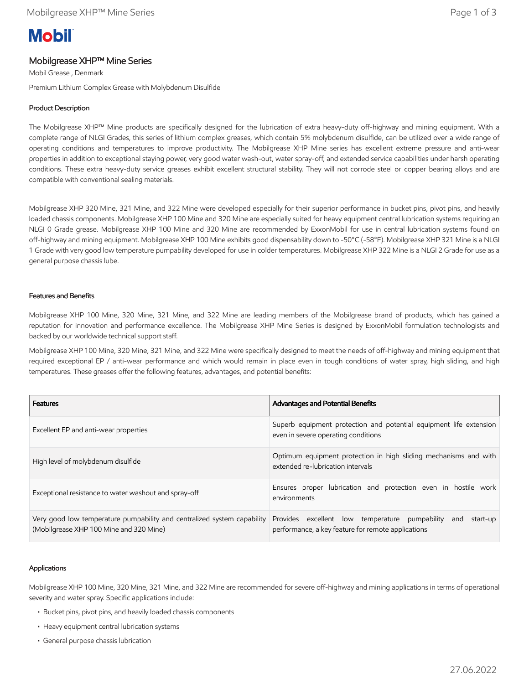# **Mobil**

## Mobilgrease XHP™ Mine Series

Mobil Grease , Denmark

Premium Lithium Complex Grease with Molybdenum Disulfide

## Product Description

The Mobilgrease XHP™ Mine products are specifically designed for the lubrication of extra heavy-duty off-highway and mining equipment. With a complete range of NLGI Grades, this series of lithium complex greases, which contain 5% molybdenum disulfide, can be utilized over a wide range of operating conditions and temperatures to improve productivity. The Mobilgrease XHP Mine series has excellent extreme pressure and anti-wear properties in addition to exceptional staying power, very good water wash-out, water spray-off, and extended service capabilities under harsh operating conditions. These extra heavy-duty service greases exhibit excellent structural stability. They will not corrode steel or copper bearing alloys and are compatible with conventional sealing materials.

Mobilgrease XHP 320 Mine, 321 Mine, and 322 Mine were developed especially for their superior performance in bucket pins, pivot pins, and heavily loaded chassis components. Mobilgrease XHP 100 Mine and 320 Mine are especially suited for heavy equipment central lubrication systems requiring an NLGI 0 Grade grease. Mobilgrease XHP 100 Mine and 320 Mine are recommended by ExxonMobil for use in central lubrication systems found on off-highway and mining equipment. Mobilgrease XHP 100 Mine exhibits good dispensability down to -50°C (-58°F). Mobilgrease XHP 321 Mine is a NLGI 1 Grade with very good low temperature pumpability developed for use in colder temperatures. Mobilgrease XHP 322 Mine is a NLGI 2 Grade for use as a general purpose chassis lube.

#### Features and Benefits

Mobilgrease XHP 100 Mine, 320 Mine, 321 Mine, and 322 Mine are leading members of the Mobilgrease brand of products, which has gained a reputation for innovation and performance excellence. The Mobilgrease XHP Mine Series is designed by ExxonMobil formulation technologists and backed by our worldwide technical support staff.

Mobilgrease XHP 100 Mine, 320 Mine, 321 Mine, and 322 Mine were specifically designed to meet the needs of off-highway and mining equipment that required exceptional EP / anti-wear performance and which would remain in place even in tough conditions of water spray, high sliding, and high temperatures. These greases offer the following features, advantages, and potential benefits:

| <b>Features</b>                                                                                                    | Advantages and Potential Benefits                                                                                       |  |  |
|--------------------------------------------------------------------------------------------------------------------|-------------------------------------------------------------------------------------------------------------------------|--|--|
| Excellent EP and anti-wear properties                                                                              | Superb equipment protection and potential equipment life extension<br>even in severe operating conditions               |  |  |
| High level of molybdenum disulfide                                                                                 | Optimum equipment protection in high sliding mechanisms and with<br>extended re-lubrication intervals                   |  |  |
| Exceptional resistance to water washout and spray-off                                                              | Ensures proper lubrication and protection even in hostile work<br>environments                                          |  |  |
| Very good low temperature pumpability and centralized system capability<br>(Mobilgrease XHP 100 Mine and 320 Mine) | Provides excellent low temperature pumpability<br>start-up<br>and<br>performance, a key feature for remote applications |  |  |

#### Applications

Mobilgrease XHP 100 Mine, 320 Mine, 321 Mine, and 322 Mine are recommended for severe off-highway and mining applications in terms of operational severity and water spray. Specific applications include:

- Bucket pins, pivot pins, and heavily loaded chassis components
- Heavy equipment central lubrication systems
- General purpose chassis lubrication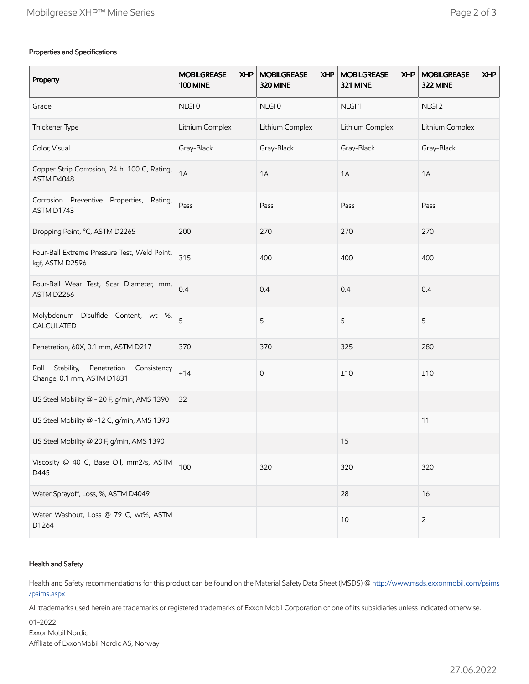### Properties and Specifications

| Property                                                                       | <b>MOBILGREASE</b><br><b>XHP</b><br><b>100 MINE</b> | <b>MOBILGREASE</b><br><b>XHP</b><br>320 MINE | <b>MOBILGREASE</b><br><b>XHP</b><br>321 MINE | <b>MOBILGREASE</b><br><b>XHP</b><br>322 MINE |
|--------------------------------------------------------------------------------|-----------------------------------------------------|----------------------------------------------|----------------------------------------------|----------------------------------------------|
| Grade                                                                          | NLGI0                                               | NLGI <sub>0</sub>                            | NLGI <sub>1</sub>                            | NLGI <sub>2</sub>                            |
| Thickener Type                                                                 | Lithium Complex                                     | Lithium Complex                              | Lithium Complex                              | Lithium Complex                              |
| Color, Visual                                                                  | Gray-Black                                          | Gray-Black                                   | Gray-Black                                   | Gray-Black                                   |
| Copper Strip Corrosion, 24 h, 100 C, Rating,<br>ASTM D4048                     | 1A                                                  | 1A                                           | 1A                                           | 1A                                           |
| Corrosion Preventive Properties, Rating,<br>ASTM D1743                         | Pass                                                | Pass                                         | Pass                                         | Pass                                         |
| Dropping Point, °C, ASTM D2265                                                 | 200                                                 | 270                                          | 270                                          | 270                                          |
| Four-Ball Extreme Pressure Test, Weld Point,<br>kgf, ASTM D2596                | 315                                                 | 400                                          | 400                                          | 400                                          |
| Four-Ball Wear Test, Scar Diameter, mm,<br>ASTM D2266                          | 0.4                                                 | 0.4                                          | 0.4                                          | 0.4                                          |
| Molybdenum Disulfide Content, wt %,<br>CALCULATED                              | 5                                                   | 5                                            | 5                                            | 5                                            |
| Penetration, 60X, 0.1 mm, ASTM D217                                            | 370                                                 | 370                                          | 325                                          | 280                                          |
| Stability,<br>Penetration<br>Roll<br>Consistency<br>Change, 0.1 mm, ASTM D1831 | $+14$                                               | 0                                            | ±10                                          | ±10                                          |
| US Steel Mobility @ - 20 F, g/min, AMS 1390                                    | 32                                                  |                                              |                                              |                                              |
| US Steel Mobility @ -12 C, g/min, AMS 1390                                     |                                                     |                                              |                                              | 11                                           |
| US Steel Mobility @ 20 F, g/min, AMS 1390                                      |                                                     |                                              | 15                                           |                                              |
| Viscosity @ 40 C, Base Oil, mm2/s, ASTM<br>D445                                | 100                                                 | 320                                          | 320                                          | 320                                          |
| Water Sprayoff, Loss, %, ASTM D4049                                            |                                                     |                                              | 28                                           | 16                                           |
| Water Washout, Loss @ 79 C, wt%, ASTM<br>D1264                                 |                                                     |                                              | $10$                                         | $\overline{2}$                               |

#### Health and Safety

Health and Safety recommendations for this product can be found on the Material Safety Data Sheet (MSDS) @ [http://www.msds.exxonmobil.com/psims](http://www.msds.exxonmobil.com/psims/psims.aspx) /psims.aspx

All trademarks used herein are trademarks or registered trademarks of Exxon Mobil Corporation or one of its subsidiaries unless indicated otherwise.

01-2022 ExxonMobil Nordic Affiliate of ExxonMobil Nordic AS, Norway